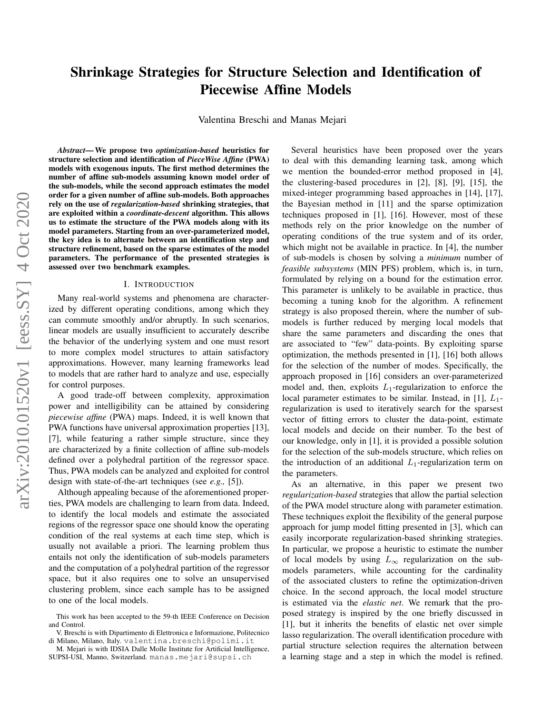# Shrinkage Strategies for Structure Selection and Identification of Piecewise Affine Models

Valentina Breschi and Manas Mejari

*Abstract*— We propose two *optimization-based* heuristics for structure selection and identification of *PieceWise Affine* (PWA) models with exogenous inputs. The first method determines the number of affine sub-models assuming known model order of the sub-models, while the second approach estimates the model order for a given number of affine sub-models. Both approaches rely on the use of *regularization-based* shrinking strategies, that are exploited within a *coordinate-descent* algorithm. This allows us to estimate the structure of the PWA models along with its model parameters. Starting from an over-parameterized model, the key idea is to alternate between an identification step and structure refinement, based on the sparse estimates of the model parameters. The performance of the presented strategies is assessed over two benchmark examples.

#### I. INTRODUCTION

Many real-world systems and phenomena are characterized by different operating conditions, among which they can commute smoothly and/or abruptly. In such scenarios, linear models are usually insufficient to accurately describe the behavior of the underlying system and one must resort to more complex model structures to attain satisfactory approximations. However, many learning frameworks lead to models that are rather hard to analyze and use, especially for control purposes.

A good trade-off between complexity, approximation power and intelligibility can be attained by considering *piecewise affine* (PWA) maps. Indeed, it is well known that PWA functions have universal approximation properties [13], [7], while featuring a rather simple structure, since they are characterized by a finite collection of affine sub-models defined over a polyhedral partition of the regressor space. Thus, PWA models can be analyzed and exploited for control design with state-of-the-art techniques (see *e.g.,* [5]).

Although appealing because of the aforementioned properties, PWA models are challenging to learn from data. Indeed, to identify the local models and estimate the associated regions of the regressor space one should know the operating condition of the real systems at each time step, which is usually not available a priori. The learning problem thus entails not only the identification of sub-models parameters and the computation of a polyhedral partition of the regressor space, but it also requires one to solve an unsupervised clustering problem, since each sample has to be assigned to one of the local models.

Several heuristics have been proposed over the years to deal with this demanding learning task, among which we mention the bounded-error method proposed in [4], the clustering-based procedures in [2], [8], [9], [15], the mixed-integer programming based approaches in [14], [17], the Bayesian method in [11] and the sparse optimization techniques proposed in [1], [16]. However, most of these methods rely on the prior knowledge on the number of operating conditions of the true system and of its order, which might not be available in practice. In [4], the number of sub-models is chosen by solving a *minimum* number of *feasible subsystems* (MIN PFS) problem, which is, in turn, formulated by relying on a bound for the estimation error. This parameter is unlikely to be available in practice, thus becoming a tuning knob for the algorithm. A refinement strategy is also proposed therein, where the number of submodels is further reduced by merging local models that share the same parameters and discarding the ones that are associated to "few" data-points. By exploiting sparse optimization, the methods presented in [1], [16] both allows for the selection of the number of modes. Specifically, the approach proposed in [16] considers an over-parameterized model and, then, exploits  $L_1$ -regularization to enforce the local parameter estimates to be similar. Instead, in [1],  $L_1$ regularization is used to iteratively search for the sparsest vector of fitting errors to cluster the data-point, estimate local models and decide on their number. To the best of our knowledge, only in [1], it is provided a possible solution for the selection of the sub-models structure, which relies on the introduction of an additional  $L_1$ -regularization term on the parameters.

As an alternative, in this paper we present two *regularization-based* strategies that allow the partial selection of the PWA model structure along with parameter estimation. These techniques exploit the flexibility of the general purpose approach for jump model fitting presented in [3], which can easily incorporate regularization-based shrinking strategies. In particular, we propose a heuristic to estimate the number of local models by using  $L_{\infty}$  regularization on the submodels parameters, while accounting for the cardinality of the associated clusters to refine the optimization-driven choice. In the second approach, the local model structure is estimated via the *elastic net*. We remark that the proposed strategy is inspired by the one briefly discussed in [1], but it inherits the benefits of elastic net over simple lasso regularization. The overall identification procedure with partial structure selection requires the alternation between a learning stage and a step in which the model is refined.

This work has been accepted to the 59-th IEEE Conference on Decision and Control.

V. Breschi is with Dipartimento di Elettronica e Informazione, Politecnico di Milano, Milano, Italy. valentina.breschi@polimi.it

M. Mejari is with IDSIA Dalle Molle Institute for Artificial Intelligence, SUPSI-USI, Manno, Switzerland. manas.mejari@supsi.ch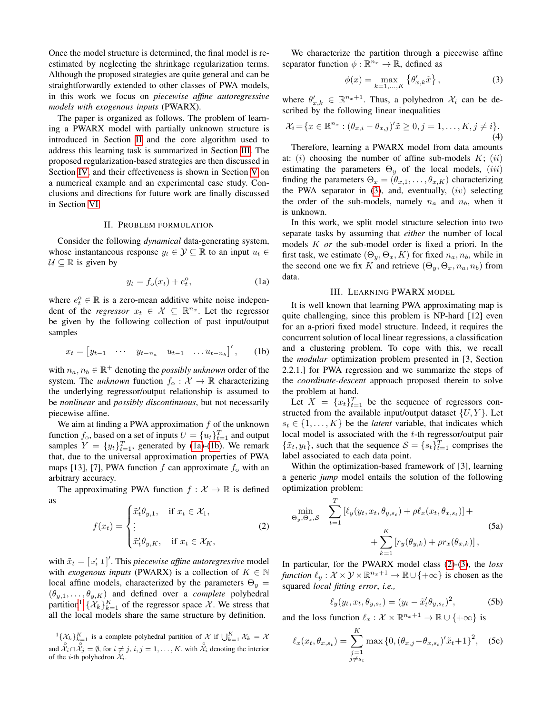Once the model structure is determined, the final model is reestimated by neglecting the shrinkage regularization terms. Although the proposed strategies are quite general and can be straightforwardly extended to other classes of PWA models, in this work we focus on *piecewise affine autoregressive models with exogenous inputs* (PWARX).

The paper is organized as follows. The problem of learning a PWARX model with partially unknown structure is introduced in Section [II](#page-1-0) and the core algorithm used to address this learning task is summarized in Section [III.](#page-1-1) The proposed regularization-based strategies are then discussed in Section [IV,](#page-2-0) and their effectiveness is shown in Section [V](#page-4-0) on a numerical example and an experimental case study. Conclusions and directions for future work are finally discussed in Section [VI.](#page-6-0)

#### II. PROBLEM FORMULATION

<span id="page-1-0"></span>Consider the following *dynamical* data-generating system, whose instantaneous response  $y_t \in \mathcal{Y} \subseteq \mathbb{R}$  to an input  $u_t \in$  $U \subseteq \mathbb{R}$  is given by

<span id="page-1-2"></span>
$$
y_t = f_o(x_t) + e_t^o,\tag{1a}
$$

where  $e_t^{\circ} \in \mathbb{R}$  is a zero-mean additive white noise independent of the *regressor*  $x_t \in \mathcal{X} \subseteq \mathbb{R}^{n_x}$ . Let the regressor be given by the following collection of past input/output samples

<span id="page-1-3"></span>
$$
x_t = \begin{bmatrix} y_{t-1} & \cdots & y_{t-n_a} & u_{t-1} & \cdots & u_{t-n_b} \end{bmatrix}', \qquad (1b)
$$

with  $n_a, n_b \in \mathbb{R}^+$  denoting the *possibly unknown* order of the system. The *unknown* function  $f_0: \mathcal{X} \to \mathbb{R}$  characterizing the underlying regressor/output relationship is assumed to be *nonlinear* and *possibly discontinuous*, but not necessarily piecewise affine.

We aim at finding a PWA approximation  $f$  of the unknown function  $f_0$ , based on a set of inputs  $U = \{u_t\}_{t=1}^T$  and output samples  $Y = \{y_t\}_{t=1}^T$ , generated by [\(1a\)](#page-1-2)-[\(1b\)](#page-1-3). We remark that, due to the universal approximation properties of PWA maps [13], [7], PWA function f can approximate  $f_0$  with an arbitrary accuracy.

The approximating PWA function  $f : \mathcal{X} \to \mathbb{R}$  is defined as

<span id="page-1-6"></span>
$$
f(x_t) = \begin{cases} \tilde{x}'_t \theta_{y,1}, & \text{if } x_t \in \mathcal{X}_1, \\ \vdots \\ \tilde{x}'_t \theta_{y,K}, & \text{if } x_t \in \mathcal{X}_K, \end{cases}
$$
 (2)

with  $\tilde{x}_t = [\alpha_t^t \ 1]'.$  This *piecewise affine autoregressive* model with *exogenous inputs* (PWARX) is a collection of  $K \in \mathbb{N}$ local affine models, characterized by the parameters  $\Theta_y =$  $(\theta_{y,1}, \ldots, \theta_{y,K})$  and defined over a *complete* polyhedral partition<sup>[1](#page-1-4)</sup>  $\{\mathcal{X}_k\}_{k=1}^K$  of the regressor space X. We stress that all the local models share the same structure by definition.

<span id="page-1-4"></span> ${}^{1}\{\mathcal{X}_{k}\}_{k=1}^{K}$  is a complete polyhedral partition of X if  $\bigcup_{k=1}^{K} \mathcal{X}_{k} = \mathcal{X}$ and  $\chi_i \cap \chi_j = \emptyset$ , for  $i \neq j$ ,  $i, j = 1, ..., K$ , with  $\chi_i \circ \chi_i$  denoting the interior of the *i*-th polyhedron  $\mathcal{X}_i$ .

We characterize the partition through a piecewise affine separator function  $\phi : \mathbb{R}^{n_x} \to \mathbb{R}$ , defined as

<span id="page-1-5"></span>
$$
\phi(x) = \max_{k=1,\dots,K} \left\{ \theta'_{x,k} \tilde{x} \right\},\tag{3}
$$

where  $\theta'_{x,k} \in \mathbb{R}^{n_x+1}$ . Thus, a polyhedron  $\mathcal{X}_i$  can be described by the following linear inequalities

<span id="page-1-7"></span>
$$
\mathcal{X}_i = \{ x \in \mathbb{R}^{n_x} : (\theta_{x,i} - \theta_{x,j})' \tilde{x} \ge 0, j = 1, ..., K, j \ne i \}.
$$
\n(4)

Therefore, learning a PWARX model from data amounts at:  $(i)$  choosing the number of affine sub-models  $K$ ;  $(ii)$ estimating the parameters  $\Theta_u$  of the local models, (iii) finding the parameters  $\Theta_x = (\theta_{x,1}, \dots, \theta_{x,K})$  characterizing the PWA separator in  $(3)$ , and, eventually,  $(iv)$  selecting the order of the sub-models, namely  $n_a$  and  $n_b$ , when it is unknown.

In this work, we split model structure selection into two separate tasks by assuming that *either* the number of local models K *or* the sub-model order is fixed a priori. In the first task, we estimate  $(\Theta_u, \Theta_x, K)$  for fixed  $n_a, n_b$ , while in the second one we fix K and retrieve  $(\Theta_u, \Theta_x, n_a, n_b)$  from data.

#### III. LEARNING PWARX MODEL

<span id="page-1-1"></span>It is well known that learning PWA approximating map is quite challenging, since this problem is NP-hard [12] even for an a-priori fixed model structure. Indeed, it requires the concurrent solution of local linear regressions, a classification and a clustering problem. To cope with this, we recall the *modular* optimization problem presented in [3, Section 2.2.1.] for PWA regression and we summarize the steps of the *coordinate-descent* approach proposed therein to solve the problem at hand.

Let  $X = \{x_t\}_{t=1}^T$  be the sequence of regressors constructed from the available input/output dataset  $\{U, Y\}$ . Let  $s_t \in \{1, \ldots, K\}$  be the *latent* variable, that indicates which local model is associated with the t-th regressor/output pair  $\{\tilde{x}_t, y_t\}$ , such that the sequence  $\mathcal{S} = \{s_t\}_{t=1}^T$  comprises the label associated to each data point.

Within the optimization-based framework of [3], learning a generic *jump* model entails the solution of the following optimization problem:

<span id="page-1-8"></span>
$$
\min_{\Theta_y, \Theta_x, \mathcal{S}} \quad \sum_{t=1}^T \left[ \ell_y(y_t, x_t, \theta_{y, s_t}) + \rho \ell_x(x_t, \theta_{x, s_t}) \right] + \sum_{k=1}^K \left[ r_y(\theta_{y, k}) + \rho r_x(\theta_{x, k}) \right],
$$
\n(5a)

In particular, for the PWARX model class [\(2\)](#page-1-6)-[\(3\)](#page-1-5), the *loss function*  $\ell_y : \mathcal{X} \times \mathcal{Y} \times \mathbb{R}^{n_x+1} \to \mathbb{R} \cup \{+\infty\}$  is chosen as the squared *local fitting error*, *i.e.,*

$$
\ell_y(y_t, x_t, \theta_{y, s_t}) = (y_t - \tilde{x}_t' \theta_{y, s_t})^2, \tag{5b}
$$

and the loss function  $\ell_x : \mathcal{X} \times \mathbb{R}^{n_x+1} \to \mathbb{R} \cup \{+\infty\}$  is

$$
\ell_x(x_t, \theta_{x,s_t}) = \sum_{\substack{j=1 \\ j \neq s_t}}^K \max\{0, (\theta_{x,j} - \theta_{x,s_t})' \tilde{x}_t + 1\}^2, \quad \text{(5c)}
$$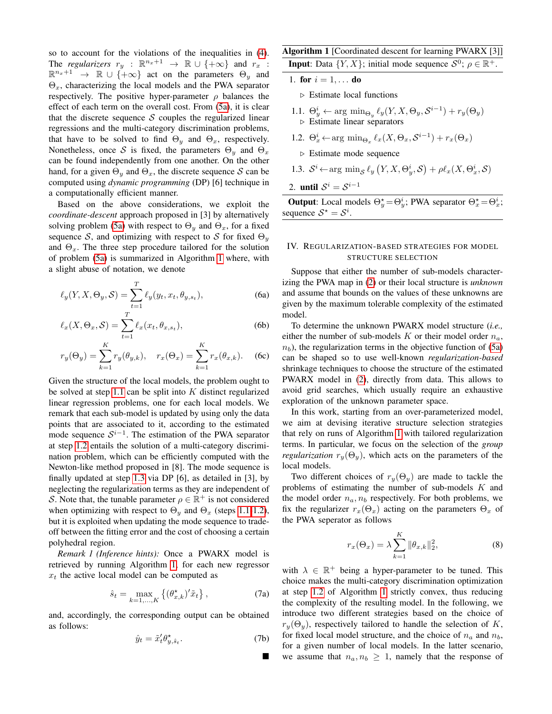so to account for the violations of the inequalities in [\(4\)](#page-1-7). The *regularizers*  $r_y$  :  $\mathbb{R}^{n_x+1} \rightarrow \mathbb{R} \cup \{+\infty\}$  and  $r_x$  :  $\mathbb{R}^{n_x+1} \rightarrow \mathbb{R} \cup \{+\infty\}$  act on the parameters  $\Theta_y$  and  $\Theta_x$ , characterizing the local models and the PWA separator respectively. The positive hyper-parameter  $\rho$  balances the effect of each term on the overall cost. From [\(5a\)](#page-1-8), it is clear that the discrete sequence  $S$  couples the regularized linear regressions and the multi-category discrimination problems, that have to be solved to find  $\Theta_u$  and  $\Theta_x$ , respectively. Nonetheless, once S is fixed, the parameters  $\Theta_y$  and  $\Theta_x$ can be found independently from one another. On the other hand, for a given  $\Theta_y$  and  $\Theta_x$ , the discrete sequence S can be computed using *dynamic programming* (DP) [6] technique in a computationally efficient manner.

Based on the above considerations, we exploit the *coordinate-descent* approach proposed in [3] by alternatively solving problem [\(5a\)](#page-1-8) with respect to  $\Theta_u$  and  $\Theta_x$ , for a fixed sequence S, and optimizing with respect to S for fixed  $\Theta_y$ and  $\Theta_x$ . The three step procedure tailored for the solution of problem [\(5a\)](#page-1-8) is summarized in Algorithm [1](#page-2-1) where, with a slight abuse of notation, we denote

$$
\ell_y(Y, X, \Theta_y, \mathcal{S}) = \sum_{t=1}^T \ell_y(y_t, x_t, \theta_{y, s_t}), \tag{6a}
$$

$$
\ell_x(X, \Theta_x, \mathcal{S}) = \sum_{t=1}^l \ell_x(x_t, \theta_{x, s_t}),
$$
 (6b)

$$
r_y(\Theta_y) = \sum_{k=1}^K r_y(\theta_{y,k}), \quad r_x(\Theta_x) = \sum_{k=1}^K r_x(\theta_{x,k}).
$$
 (6c)

Given the structure of the local models, the problem ought to be solved at step [1.1](#page-2-2) can be split into  $K$  distinct regularized linear regression problems, one for each local models. We remark that each sub-model is updated by using only the data points that are associated to it, according to the estimated mode sequence  $S^{i-1}$ . The estimation of the PWA separator at step [1.2](#page-2-3) entails the solution of a multi-category discrimination problem, which can be efficiently computed with the Newton-like method proposed in [8]. The mode sequence is finally updated at step [1.3](#page-2-4) via DP [6], as detailed in [3], by neglecting the regularization terms as they are independent of S. Note that, the tunable parameter  $\rho \in \mathbb{R}^+$  is not considered when optimizing with respect to  $\Theta_y$  and  $\Theta_x$  (steps [1.1-](#page-2-2)[1.2\)](#page-2-3), but it is exploited when updating the mode sequence to tradeoff between the fitting error and the cost of choosing a certain polyhedral region.

*Remark 1 (Inference hints):* Once a PWARX model is retrieved by running Algorithm [1,](#page-2-1) for each new regressor  $x_t$  the active local model can be computed as

$$
\hat{s}_t = \max_{k=1,\dots,K} \left\{ (\theta_{x,k}^\star)' \tilde{x}_t \right\},\tag{7a}
$$

and, accordingly, the corresponding output can be obtained as follows:

$$
\hat{y}_t = \tilde{x}_t' \theta_{y, \hat{s}_t}^{\star}.
$$
 (7b)

 $\blacksquare$ 

<span id="page-2-1"></span>Algorithm 1 [Coordinated descent for learning PWARX [3]] **Input:** Data  $\{Y, X\}$ ; initial mode sequence  $S^0$ ;  $\rho \in \mathbb{R}^+$ .

1. for  $i = 1, \ldots$  do

 $\triangleright$  Estimate local functions

- <span id="page-2-2"></span>1.1.  $\Theta_y^i \leftarrow \arg \min_{\Theta_y} \ell_y(Y, X, \Theta_y, \mathcal{S}^{i-1}) + r_y(\Theta_y)$ . Estimate linear separators
- <span id="page-2-3"></span>1.2.  $\Theta_x^i \leftarrow \arg \min_{\Theta_x} \ell_x(X, \Theta_x, \mathcal{S}^{i-1}) + r_x(\Theta_x)$ 
	- $\triangleright$  Estimate mode sequence
- <span id="page-2-4"></span>1.3.  $S^i \leftarrow \arg \min_{S} \ell_y \left( Y, X, \Theta_y^i, S \right) + \rho \ell_x(X, \Theta_x^i, S)$
- 2. until  $S^i = S^{i-1}$

**Output**: Local models  $\Theta_y^* = \Theta_y^i$ ; PWA separator  $\Theta_x^* = \Theta_x^i$ ; sequence  $S^* = S^i$ .

# <span id="page-2-0"></span>IV. REGULARIZATION-BASED STRATEGIES FOR MODEL STRUCTURE SELECTION

Suppose that either the number of sub-models characterizing the PWA map in [\(2\)](#page-1-6) or their local structure is *unknown* and assume that bounds on the values of these unknowns are given by the maximum tolerable complexity of the estimated model.

To determine the unknown PWARX model structure (*i.e.,* either the number of sub-models K or their model order  $n_a$ ,  $n_b$ ), the regularization terms in the objective function of [\(5a\)](#page-1-8) can be shaped so to use well-known *regularization-based* shrinkage techniques to choose the structure of the estimated PWARX model in [\(2\)](#page-1-6), directly from data. This allows to avoid grid searches, which usually require an exhaustive exploration of the unknown parameter space.

In this work, starting from an over-parameterized model, we aim at devising iterative structure selection strategies that rely on runs of Algorithm [1](#page-2-1) with tailored regularization terms. In particular, we focus on the selection of the *group regularization*  $r_y(\Theta_y)$ , which acts on the parameters of the local models.

Two different choices of  $r_y(\Theta_y)$  are made to tackle the problems of estimating the number of sub-models K and the model order  $n_a$ ,  $n_b$  respectively. For both problems, we fix the regularizer  $r_x(\Theta_x)$  acting on the parameters  $\Theta_x$  of the PWA seperator as follows

$$
r_x(\Theta_x) = \lambda \sum_{k=1}^K \|\theta_{x,k}\|_2^2,
$$
 (8)

with  $\lambda \in \mathbb{R}^+$  being a hyper-parameter to be tuned. This choice makes the multi-category discrimination optimization at step [1.2](#page-2-3) of Algorithm [1](#page-2-1) strictly convex, thus reducing the complexity of the resulting model. In the following, we introduce two different strategies based on the choice of  $r_y(\Theta_y)$ , respectively tailored to handle the selection of K, for fixed local model structure, and the choice of  $n_a$  and  $n_b$ , for a given number of local models. In the latter scenario, we assume that  $n_a, n_b \geq 1$ , namely that the response of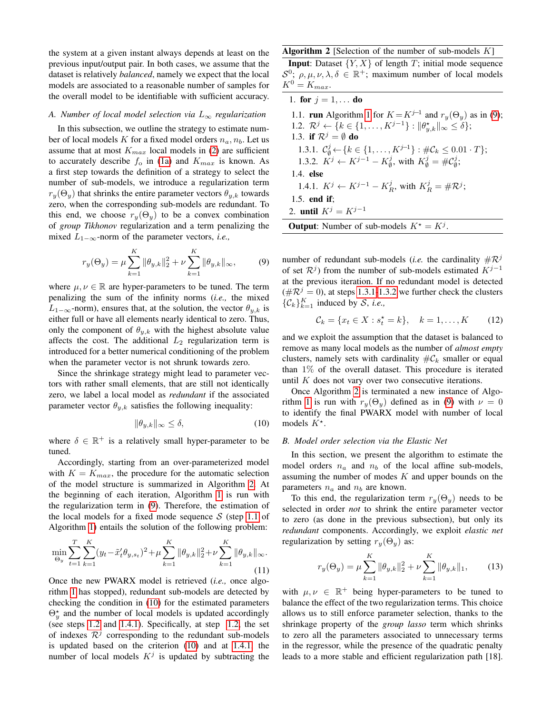the system at a given instant always depends at least on the previous input/output pair. In both cases, we assume that the dataset is relatively *balanced*, namely we expect that the local models are associated to a reasonable number of samples for the overall model to be identifiable with sufficient accuracy.

# *A. Number of local model selection via* L<sup>∞</sup> *regularization*

In this subsection, we outline the strategy to estimate number of local models K for a fixed model orders  $n_a$ ,  $n_b$ . Let us assume that at most  $K_{max}$  local models in [\(2\)](#page-1-6) are sufficient to accurately describe  $f_0$  in [\(1a\)](#page-1-2) and  $K_{max}$  is known. As a first step towards the definition of a strategy to select the number of sub-models, we introduce a regularization term  $r_y(\Theta_y)$  that shrinks the entire parameter vectors  $\theta_{y,k}$  towards zero, when the corresponding sub-models are redundant. To this end, we choose  $r_u(\Theta_u)$  to be a convex combination of *group Tikhonov* regularization and a term penalizing the mixed L1−∞-norm of the parameter vectors, *i.e.,*

<span id="page-3-1"></span>
$$
r_y(\Theta_y) = \mu \sum_{k=1}^K \|\theta_{y,k}\|_2^2 + \nu \sum_{k=1}^K \|\theta_{y,k}\|_{\infty},
$$
 (9)

where  $\mu, \nu \in \mathbb{R}$  are hyper-parameters to be tuned. The term penalizing the sum of the infinity norms (*i.e.,* the mixed  $L_{1-\infty}$ -norm), ensures that, at the solution, the vector  $\theta_{u,k}$  is either full or have all elements nearly identical to zero. Thus, only the component of  $\theta_{v,k}$  with the highest absolute value affects the cost. The additional  $L_2$  regularization term is introduced for a better numerical conditioning of the problem when the parameter vector is not shrunk towards zero.

Since the shrinkage strategy might lead to parameter vectors with rather small elements, that are still not identically zero, we label a local model as *redundant* if the associated parameter vector  $\theta_{y,k}$  satisfies the following inequality:

<span id="page-3-2"></span>
$$
\|\theta_{y,k}\|_{\infty} \le \delta,\tag{10}
$$

where  $\delta \in \mathbb{R}^+$  is a relatively small hyper-parameter to be tuned.

Accordingly, starting from an over-parameterized model with  $K = K_{max}$ , the procedure for the automatic selection of the model structure is summarized in Algorithm [2.](#page-3-0) At the beginning of each iteration, Algorithm [1](#page-2-1) is run with the regularization term in [\(9\)](#page-3-1). Therefore, the estimation of the local models for a fixed mode sequence  $S$  (step [1.1](#page-2-2) of Algorithm [1\)](#page-2-1) entails the solution of the following problem:

$$
\min_{\Theta_y} \sum_{t=1}^T \sum_{k=1}^K (y_t - \tilde{x}_t' \theta_{y, s_t})^2 + \mu \sum_{k=1}^K \|\theta_{y, k}\|_2^2 + \nu \sum_{k=1}^K \|\theta_{y, k}\|_{\infty}.
$$
\n(11)

Once the new PWARX model is retrieved (*i.e.,* once algorithm [1](#page-2-1) has stopped), redundant sub-models are detected by checking the condition in [\(10\)](#page-3-2) for the estimated parameters  $\Theta_{y}^{\star}$  and the number of local models is updated accordingly (see steps [1.2](#page-3-3) and [1.4.1\)](#page-3-4). Specifically, at step [1.2,](#page-3-3) the set of indexes  $\mathcal{R}^j$  corresponding to the redundant sub-models is updated based on the criterion [\(10\)](#page-3-2) and at [1.4.1,](#page-3-4) the number of local models  $K^j$  is updated by subtracting the

# <span id="page-3-0"></span>**Algorithm 2** [Selection of the number of sub-models  $K$ ]

**Input:** Dataset  $\{Y, X\}$  of length T; initial mode sequence  $\mathcal{S}^0$ ;  $\rho, \mu, \nu, \lambda, \delta \in \mathbb{R}^+$ ; maximum number of local models  $K^0 = K_{max}.$ 

<span id="page-3-5"></span><span id="page-3-3"></span>1. for  $j = 1, ...$  do 1.1. **run** Algorithm [1](#page-2-1) for  $K = K^{j-1}$  and  $r_y(\Theta_y)$  as in [\(9\)](#page-3-1); 1.2.  $\mathcal{R}^j \leftarrow \{k \in \{1, ..., K^{j-1}\} : ||\theta_{y,k}^*||_{\infty} \le \delta\};$ 1.3. if  $\mathcal{R}^j = \emptyset$  do 1.3.1.  $\mathcal{C}_{\emptyset}^j$  ← { $k \in \{1, ..., K^{j-1}\} : \#\mathcal{C}_k \leq 0.01 \cdot T\};$ 1.3.2.  $K^j \leftarrow K^{j-1} - K^j_{\emptyset}$  $\psi_{\emptyset}^j$ , with  $K_{\emptyset}^j = \# \mathcal{C}_{\emptyset}^j$  $_{\emptyset}^{\jmath}.$ 1.4. else 1.4.1.  $K^j \leftarrow K^{j-1} - K^j_R$ , with  $K^j_R = \# \mathcal{R}^j$ ;

<span id="page-3-6"></span><span id="page-3-4"></span>1.5. end if; 2. until  $K^j = K^{j-1}$ 

**Output**: Number of sub-models 
$$
K^* = K^j
$$
.

number of redundant sub-models (*i.e.* the cardinality  $\#\mathcal{R}^j$ of set  $\mathcal{R}^{j}$ ) from the number of sub-models estimated  $K^{j-1}$ at the previous iteration. If no redundant model is detected  $(\#\mathcal{R}^j = 0)$ , at steps [1.3.1-](#page-3-5)[1.3.2](#page-3-6) we further check the clusters  $\{\mathcal{C}_k\}_{k=1}^K$  induced by S, *i.e.*,

$$
C_k = \{x_t \in X : s_t^* = k\}, \quad k = 1, ..., K \tag{12}
$$

and we exploit the assumption that the dataset is balanced to remove as many local models as the number of *almost empty* clusters, namely sets with cardinality  $\#\mathcal{C}_k$  smaller or equal than 1% of the overall dataset. This procedure is iterated until  $K$  does not vary over two consecutive iterations.

Once Algorithm [2](#page-3-0) is terminated a new instance of Algo-rithm [1](#page-2-1) is run with  $r_y(\Theta_y)$  defined as in [\(9\)](#page-3-1) with  $\nu = 0$ to identify the final PWARX model with number of local models  $K^*$ .

## *B. Model order selection via the Elastic Net*

In this section, we present the algorithm to estimate the model orders  $n_a$  and  $n_b$  of the local affine sub-models, assuming the number of modes  $K$  and upper bounds on the parameters  $n_a$  and  $n_b$  are known.

To this end, the regularization term  $r_y(\Theta_y)$  needs to be selected in order *not* to shrink the entire parameter vector to zero (as done in the previous subsection), but only its *redundant* components. Accordingly, we exploit *elastic net* regularization by setting  $r_y(\Theta_y)$  as:

<span id="page-3-7"></span>
$$
r_y(\Theta_y) = \mu \sum_{k=1}^K \|\theta_{y,k}\|_2^2 + \nu \sum_{k=1}^K \|\theta_{y,k}\|_1, \qquad (13)
$$

with  $\mu, \nu \in \mathbb{R}^+$  being hyper-parameters to be tuned to balance the effect of the two regularization terms. This choice allows us to still enforce parameter selection, thanks to the shrinkage property of the *group lasso* term which shrinks to zero all the parameters associated to unnecessary terms in the regressor, while the presence of the quadratic penalty leads to a more stable and efficient regularization path [18].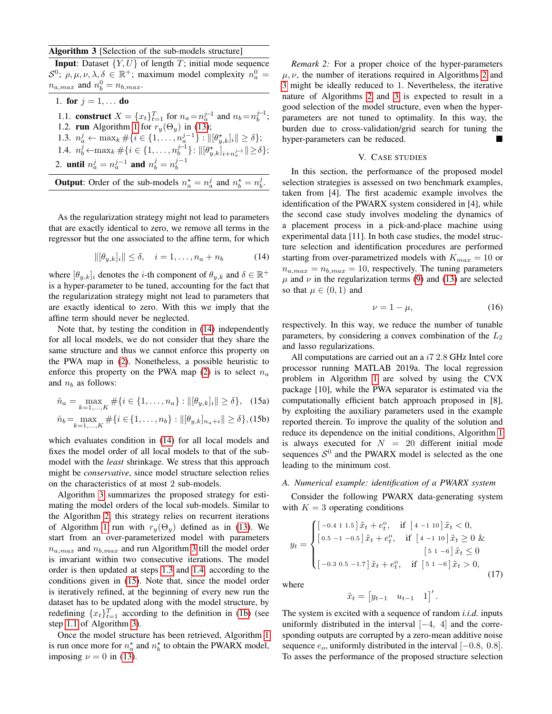<span id="page-4-2"></span>Algorithm 3 [Selection of the sub-models structure]

**Input:** Dataset  $\{Y, U\}$  of length T; initial mode sequence  $\mathcal{S}^0$ ;  $\rho, \mu, \nu, \lambda, \delta \in \mathbb{R}^+$ ; maximum model complexity  $n_a^0 =$  $n_{a,max}$  and  $n_b^0 = n_{b,max}$ .

<span id="page-4-6"></span><span id="page-4-3"></span>1. for  $j = 1, ...$  do 1.1. **construct**  $X = \{x_t\}_{t=1}^T$  for  $n_a = n_a^{j-1}$  and  $n_b = n_b^{j-1}$ ; 1.2. **run** Algorithm [1](#page-2-1) for  $r_y(\Theta_y)$  in [\(13\)](#page-3-7); 1.3.  $n_a^j \leftarrow \max_k \# \{ i \in \{1, ..., n_a^{j-1}\} : ||[\theta_{y,k}^*]_i|| \ge \delta \};$ 1.4.  $n_b^j \leftarrow \max_k \#\{i \in \{1, \ldots, n_b^{j-1}\} : ||[\theta_{y,k}^*]_{i+n_a^{j-1}}|| \ge \delta\};$ 2. **until**  $n_a^j = n_a^{j-1}$  **and**  $n_b^j = n_b^{j-1}$ 

<span id="page-4-4"></span>

As the regularization strategy might not lead to parameters that are exactly identical to zero, we remove all terms in the regressor but the one associated to the affine term, for which

<span id="page-4-1"></span>
$$
\|[\theta_{y,k}]_i\| \le \delta, \quad i = 1, \dots, n_a + n_b \tag{14}
$$

where  $[\theta_{y,k}]_i$  denotes the *i*-th component of  $\theta_{y,k}$  and  $\delta \in \mathbb{R}^+$ is a hyper-parameter to be tuned, accounting for the fact that the regularization strategy might not lead to parameters that are exactly identical to zero. With this we imply that the affine term should never be neglected.

Note that, by testing the condition in [\(14\)](#page-4-1) independently for all local models, we do not consider that they share the same structure and thus we cannot enforce this property on the PWA map in [\(2\)](#page-1-6). Nonetheless, a possible heuristic to enforce this property on the PWA map [\(2\)](#page-1-6) is to select  $n_a$ and  $n_b$  as follows:

<span id="page-4-5"></span>
$$
\hat{n}_a = \max_{k=1,\dots,K} \# \{ i \in \{1,\dots,n_a\} : ||[\theta_{y,k}]_i|| \ge \delta \}, \quad \text{(15a)}
$$
\n
$$
\hat{n}_b = \max_{k=1,\dots,K} \# \{ i \in \{1,\dots,n_b\} : ||[\theta_{y,k}]_{n_a+i}|| \ge \delta \}, \quad \text{(15b)}
$$

which evaluates condition in [\(14\)](#page-4-1) for all local models and fixes the model order of all local models to that of the submodel with the *least* shrinkage. We stress that this approach might be *conservative*, since model structure selection relies on the characteristics of at most 2 sub-models.

Algorithm [3](#page-4-2) summarizes the proposed strategy for estimating the model orders of the local sub-models. Similar to the Algorithm [2,](#page-3-0) this strategy relies on recurrent iterations of Algorithm [1](#page-2-1) run with  $r_y(\Theta_y)$  defined as in [\(13\)](#page-3-7). We start from an over-parameterized model with parameters  $n_{a,max}$  and  $n_{b,max}$  and run Algorithm [3](#page-4-2) till the model order is invariant within two consecutive iterations. The model order is then updated at steps [1.3](#page-4-3) and [1.4,](#page-4-4) according to the conditions given in [\(15\)](#page-4-5). Note that, since the model order is iteratively refined, at the beginning of every new run the dataset has to be updated along with the model structure, by redefining  ${x_t}_{t=1}^T$  according to the definition in [\(1b\)](#page-1-3) (see step [1.1](#page-4-6) of Algorithm [3\)](#page-4-2).

Once the model structure has been retrieved, Algorithm [1](#page-2-1) is run once more for  $n_a^*$  and  $n_b^*$  to obtain the PWARX model, imposing  $\nu = 0$  in [\(13\)](#page-3-7).

*Remark 2:* For a proper choice of the hyper-parameters  $\mu$ ,  $\nu$ , the number of iterations required in Algorithms [2](#page-3-0) and [3](#page-4-2) might be ideally reduced to 1. Nevertheless, the iterative nature of Algorithms [2](#page-3-0) and [3](#page-4-2) is expected to result in a good selection of the model structure, even when the hyperparameters are not tuned to optimality. In this way, the burden due to cross-validation/grid search for tuning the hyper-parameters can be reduced.

# V. CASE STUDIES

<span id="page-4-0"></span>In this section, the performance of the proposed model selection strategies is assessed on two benchmark examples, taken from [4]. The first academic example involves the identification of the PWARX system considered in [4], while the second case study involves modeling the dynamics of a placement process in a pick-and-place machine using experimental data [11]. In both case studies, the model structure selection and identification procedures are performed starting from over-parametrized models with  $K_{max} = 10$  or  $n_{a,max} = n_{b,max} = 10$ , respectively. The tuning parameters  $\mu$  and  $\nu$  in the regularization terms [\(9\)](#page-3-1) and [\(13\)](#page-3-7) are selected so that  $\mu \in (0,1)$  and

<span id="page-4-7"></span>
$$
\nu = 1 - \mu,\tag{16}
$$

respectively. In this way, we reduce the number of tunable parameters, by considering a convex combination of the  $L_2$ and lasso regularizations.

All computations are carried out an a i7 2.8 GHz Intel core processor running MATLAB 2019a. The local regression problem in Algorithm [1](#page-2-1) are solved by using the CVX package [10], while the PWA separator is estimated via the computationally efficient batch approach proposed in [8], by exploiting the auxiliary parameters used in the example reported therein. To improve the quality of the solution and reduce its dependence on the initial conditions, Algorithm [1](#page-2-1) is always executed for  $N = 20$  different initial mode sequences  $S^0$  and the PWARX model is selected as the one leading to the minimum cost.

### *A. Numerical example: identification of a PWARX system*

Consider the following PWARX data-generating system with  $K = 3$  operating conditions

$$
y_{t} = \begin{cases} \begin{bmatrix} -0.4 & 1 & 1.5 \end{bmatrix} \tilde{x}_{t} + e_{t}^{0}, & \text{if } \begin{bmatrix} 4 & -1 & 10 \end{bmatrix} \tilde{x}_{t} < 0, \\ \begin{bmatrix} 0.5 & -1 & -0.5 \end{bmatrix} \tilde{x}_{t} + e_{t}^{0}, & \text{if } \begin{bmatrix} 4 & -1 & 10 \end{bmatrix} \tilde{x}_{t} \ge 0 & \\ \begin{bmatrix} 5 & 1 & -6 \end{bmatrix} \tilde{x}_{t} < 0, \\ \begin{bmatrix} -0.3 & 0.5 & -1.7 \end{bmatrix} \tilde{x}_{t} + e_{t}^{0}, & \text{if } \begin{bmatrix} 5 & 1 & -6 \end{bmatrix} \tilde{x}_{t} > 0, \end{cases} \end{cases} \tag{17}
$$

where

$$
\tilde{x}_t = \begin{bmatrix} y_{t-1} & u_{t-1} & 1 \end{bmatrix}'
$$

.

The system is excited with a sequence of random *i.i.d.* inputs uniformly distributed in the interval  $[-4, 4]$  and the corresponding outputs are corrupted by a zero-mean additive noise sequence  $e_o$ , uniformly distributed in the interval  $[-0.8, 0.8]$ . To asses the performance of the proposed structure selection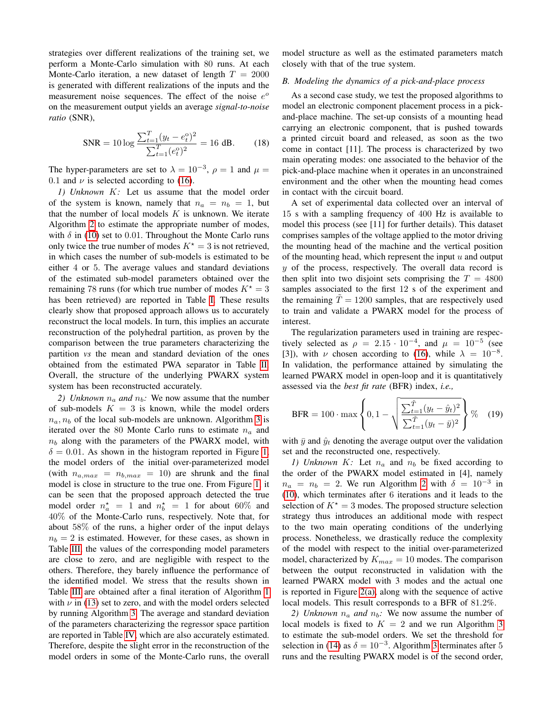strategies over different realizations of the training set, we perform a Monte-Carlo simulation with 80 runs. At each Monte-Carlo iteration, a new dataset of length  $T = 2000$ is generated with different realizations of the inputs and the measurement noise sequences. The effect of the noise  $e^{\circ}$ on the measurement output yields an average *signal-to-noise ratio* (SNR),

$$
SNR = 10 \log \frac{\sum_{t=1}^{T} (y_t - e_t^0)^2}{\sum_{t=1}^{T} (e_t^0)^2} = 16 \text{ dB.}
$$
 (18)

The hyper-parameters are set to  $\lambda = 10^{-3}$ ,  $\rho = 1$  and  $\mu =$ 0.1 and  $\nu$  is selected according to [\(16\)](#page-4-7).

*1) Unknown* K*:* Let us assume that the model order of the system is known, namely that  $n_a = n_b = 1$ , but that the number of local models  $K$  is unknown. We iterate Algorithm [2](#page-3-0) to estimate the appropriate number of modes, with  $\delta$  in [\(10\)](#page-3-2) set to 0.01. Throughout the Monte Carlo runs only twice the true number of modes  $K^* = 3$  is not retrieved, in which cases the number of sub-models is estimated to be either 4 or 5. The average values and standard deviations of the estimated sub-model parameters obtained over the remaining 78 runs (for which true number of modes  $K^* = 3$ has been retrieved) are reported in Table [I.](#page-6-1) These results clearly show that proposed approach allows us to accurately reconstruct the local models. In turn, this implies an accurate reconstruction of the polyhedral partition, as proven by the comparison between the true parameters characterizing the partition *vs* the mean and standard deviation of the ones obtained from the estimated PWA separator in Table [II.](#page-6-2) Overall, the structure of the underlying PWARX system system has been reconstructed accurately.

*2) Unknown*  $n_a$  *and*  $n_b$ : We now assume that the number of sub-models  $K = 3$  is known, while the model orders  $n_a, n_b$  of the local sub-models are unknown. Algorithm [3](#page-4-2) is iterated over the 80 Monte Carlo runs to estimate  $n_a$  and  $n_b$  along with the parameters of the PWARX model, with  $\delta = 0.01$ . As shown in the histogram reported in Figure [1,](#page-6-3) the model orders of the initial over-parameterized model (with  $n_{a,max} = n_{b,max} = 10$ ) are shrunk and the final model is close in structure to the true one. From Figure [1,](#page-6-3) it can be seen that the proposed approach detected the true model order  $n_a^* = 1$  and  $n_b^* = 1$  for about 60% and 40% of the Monte-Carlo runs, respectively. Note that, for about 58% of the runs, a higher order of the input delays  $n_b = 2$  is estimated. However, for these cases, as shown in Table [III,](#page-7-0) the values of the corresponding model parameters are close to zero, and are negligible with respect to the others. Therefore, they barely influence the performance of the identified model. We stress that the results shown in Table [III](#page-7-0) are obtained after a final iteration of Algorithm [1](#page-2-1) with  $\nu$  in [\(13\)](#page-3-7) set to zero, and with the model orders selected by running Algorithm [3.](#page-4-2) The average and standard deviation of the parameters characterizing the regressor space partition are reported in Table [IV,](#page-7-1) which are also accurately estimated. Therefore, despite the slight error in the reconstruction of the model orders in some of the Monte-Carlo runs, the overall

model structure as well as the estimated parameters match closely with that of the true system.

# *B. Modeling the dynamics of a pick-and-place process*

As a second case study, we test the proposed algorithms to model an electronic component placement process in a pickand-place machine. The set-up consists of a mounting head carrying an electronic component, that is pushed towards a printed circuit board and released, as soon as the two come in contact [11]. The process is characterized by two main operating modes: one associated to the behavior of the pick-and-place machine when it operates in an unconstrained environment and the other when the mounting head comes in contact with the circuit board.

A set of experimental data collected over an interval of 15 s with a sampling frequency of 400 Hz is available to model this process (see [11] for further details). This dataset comprises samples of the voltage applied to the motor driving the mounting head of the machine and the vertical position of the mounting head, which represent the input  $u$  and output  $y$  of the process, respectively. The overall data record is then split into two disjoint sets comprising the  $T = 4800$ samples associated to the first 12 s of the experiment and the remaining  $T = 1200$  samples, that are respectively used to train and validate a PWARX model for the process of interest.

The regularization parameters used in training are respectively selected as  $\rho = 2.15 \cdot 10^{-4}$ , and  $\mu = 10^{-5}$  (see [3]), with  $\nu$  chosen according to [\(16\)](#page-4-7), while  $\lambda = 10^{-8}$ . In validation, the performance attained by simulating the learned PWARX model in open-loop and it is quantitatively assessed via the *best fit rate* (BFR) index, *i.e.,*

$$
\text{BFR} = 100 \cdot \max \left\{ 0, 1 - \sqrt{\frac{\sum_{t=1}^{\tilde{T}} (y_t - \hat{y}_t)^2}{\sum_{t=1}^{\tilde{T}} (y_t - \bar{y})^2}} \right\} \% \quad (19)
$$

with  $\bar{y}$  and  $\hat{y}_t$  denoting the average output over the validation set and the reconstructed one, respectively.

*1) Unknown K:* Let  $n_a$  and  $n_b$  be fixed according to the order of the PWARX model estimated in [4], namely  $n_a = n_b = 2$  $n_a = n_b = 2$ . We run Algorithm 2 with  $\delta = 10^{-3}$  in [\(10\)](#page-3-2), which terminates after 6 iterations and it leads to the selection of  $K^* = 3$  modes. The proposed structure selection strategy thus introduces an additional mode with respect to the two main operating conditions of the underlying process. Nonetheless, we drastically reduce the complexity of the model with respect to the initial over-parameterized model, characterized by  $K_{max} = 10$  modes. The comparison between the output reconstructed in validation with the learned PWARX model with 3 modes and the actual one is reported in Figure  $2(a)$ , along with the sequence of active local models. This result corresponds to a BFR of 81.2%.

*2) Unknown*  $n_a$  *and*  $n_b$ : We now assume the number of local models is fixed to  $K = 2$  and we run Algorithm [3](#page-4-2) to estimate the sub-model orders. We set the threshold for selection in [\(14\)](#page-4-1) as  $\delta = 10^{-3}$ . Algorithm [3](#page-4-2) terminates after 5 runs and the resulting PWARX model is of the second order,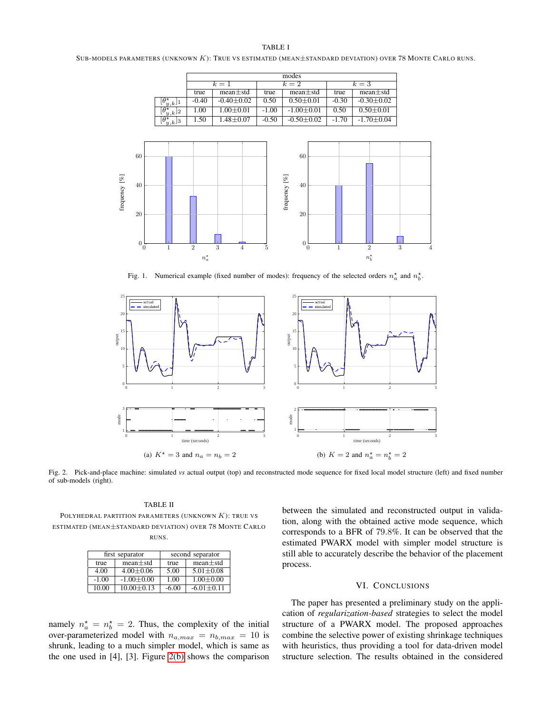#### TABLE I

<span id="page-6-1"></span>SUB-MODELS PARAMETERS (UNKNOWN K): TRUE VS ESTIMATED (MEAN±STANDARD DEVIATION) OVER 78 MONTE CARLO RUNS.

|                                        | modes   |                  |         |                  |         |                  |
|----------------------------------------|---------|------------------|---------|------------------|---------|------------------|
|                                        | $k=1$   |                  | $k=2$   |                  | $k=3$   |                  |
|                                        | true    | $mean \pm std$   | true    | $mean \pm std$   | true    | $mean \pm std$   |
| $\lfloor \theta^\star_{y,k} \rfloor_1$ | $-0.40$ | $-0.40 \pm 0.02$ | 0.50    | $0.50 + 0.01$    | $-0.30$ | $-0.30 \pm 0.02$ |
| $\theta^{\star}$<br>$y_k$ <sup>2</sup> | 1.00    | $1.00 \pm 0.01$  | $-1.00$ | $-1.00 + 0.01$   | 0.50    | $0.50 \pm 0.01$  |
| Θ*<br>$\tilde{y}, k$ <sup>3</sup>      | 1.50    | $1.48 + 0.07$    | $-0.50$ | $-0.50 \pm 0.02$ | $-1.70$ | $-1.70 + 0.04$   |



<span id="page-6-3"></span>Fig. 1. Numerical example (fixed number of modes): frequency of the selected orders  $n_a^*$  and  $n_b^*$ .



<span id="page-6-4"></span>Fig. 2. Pick-and-place machine: simulated *vs* actual output (top) and reconstructed mode sequence for fixed local model structure (left) and fixed number of sub-models (right).

<span id="page-6-2"></span>TABLE II POLYHEDRAL PARTITION PARAMETERS (UNKNOWN  $K$ ): TRUE VS ESTIMATED (MEAN±STANDARD DEVIATION) OVER 78 MONTE CARLO RUNS.

|         | first separator  | second separator |                |  |
|---------|------------------|------------------|----------------|--|
| true    | $mean \pm std$   | true             | $mean \pm std$ |  |
| 4.00    | $4.00 \pm 0.06$  | 5.00             | $5.01 + 0.08$  |  |
| $-1.00$ | $-1.00+0.00$     | 1.00             | $1.00 + 0.00$  |  |
| 10.00   | $10.00 \pm 0.13$ | $-6.00$          | $-6.01 + 0.11$ |  |

<span id="page-6-5"></span>between the simulated and reconstructed output in validation, along with the obtained active mode sequence, which corresponds to a BFR of 79.8%. It can be observed that the estimated PWARX model with simpler model structure is still able to accurately describe the behavior of the placement process.

# VI. CONCLUSIONS

namely  $n_a^* = n_b^* = 2$ . Thus, the complexity of the initial over-parameterized model with  $n_{a,max} = n_{b,max} = 10$  is shrunk, leading to a much simpler model, which is same as the one used in [4], [3]. Figure [2\(b\)](#page-6-5) shows the comparison

<span id="page-6-0"></span>The paper has presented a preliminary study on the application of *regularization-based* strategies to select the model structure of a PWARX model. The proposed approaches combine the selective power of existing shrinkage techniques with heuristics, thus providing a tool for data-driven model structure selection. The results obtained in the considered